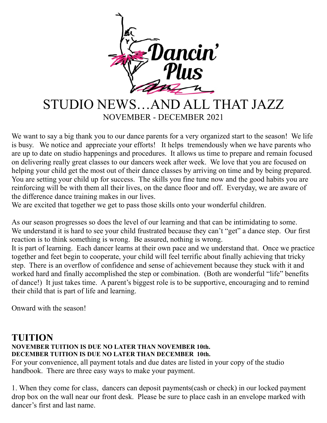

# STUDIO NEWS…AND ALL THAT JAZZ NOVEMBER - DECEMBER 2021

We want to say a big thank you to our dance parents for a very organized start to the season! We life is busy. We notice and appreciate your efforts! It helps tremendously when we have parents who are up to date on studio happenings and procedures. It allows us time to prepare and remain focused on delivering really great classes to our dancers week after week. We love that you are focused on helping your child get the most out of their dance classes by arriving on time and by being prepared. You are setting your child up for success. The skills you fine tune now and the good habits you are reinforcing will be with them all their lives, on the dance floor and off. Everyday, we are aware of the difference dance training makes in our lives.

We are excited that together we get to pass those skills onto your wonderful children.

As our season progresses so does the level of our learning and that can be intimidating to some. We understand it is hard to see your child frustrated because they can't "get" a dance step. Our first reaction is to think something is wrong. Be assured, nothing is wrong.

It is part of learning. Each dancer learns at their own pace and we understand that. Once we practice together and feet begin to cooperate, your child will feel terrific about finally achieving that tricky step. There is an overflow of confidence and sense of achievement because they stuck with it and worked hard and finally accomplished the step or combination. (Both are wonderful "life" benefits of dance!) It just takes time. A parent's biggest role is to be supportive, encouraging and to remind their child that is part of life and learning.

Onward with the season!

#### **TUITION NOVEMBER TUITION IS DUE NO LATER THAN NOVEMBER 10th. DECEMBER TUITION IS DUE NO LATER THAN DECEMBER 10th.**

For your convenience, all payment totals and due dates are listed in your copy of the studio handbook. There are three easy ways to make your payment.

1. When they come for class, dancers can deposit payments(cash or check) in our locked payment drop box on the wall near our front desk. Please be sure to place cash in an envelope marked with dancer's first and last name.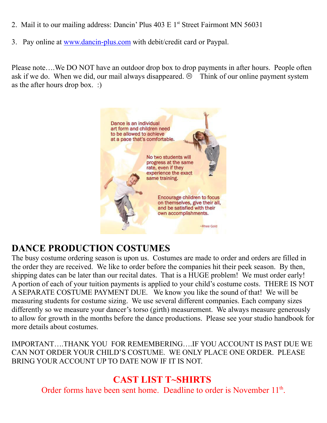- 2. Mail it to our mailing address: Dancin' Plus 403 E 1<sup>st</sup> Street Fairmont MN 56031
- 3. Pay online at www.dancin-plus.com with debit/credit card or Paypal.

Please note….We DO NOT have an outdoor drop box to drop payments in after hours. People often ask if we do. When we did, our mail always disappeared.  $\odot$  Think of our online payment system as the after hours drop box. :)



## **DANCE PRODUCTION COSTUMES**

The busy costume ordering season is upon us. Costumes are made to order and orders are filled in the order they are received. We like to order before the companies hit their peek season. By then, shipping dates can be later than our recital dates. That is a HUGE problem! We must order early! A portion of each of your tuition payments is applied to your child's costume costs. THERE IS NOT A SEPARATE COSTUME PAYMENT DUE. We know you like the sound of that! We will be measuring students for costume sizing. We use several different companies. Each company sizes differently so we measure your dancer's torso (girth) measurement. We always measure generously to allow for growth in the months before the dance productions. Please see your studio handbook for more details about costumes.

IMPORTANT….THANK YOU FOR REMEMBERING….IF YOU ACCOUNT IS PAST DUE WE CAN NOT ORDER YOUR CHILD'S COSTUME. WE ONLY PLACE ONE ORDER. PLEASE BRING YOUR ACCOUNT UP TO DATE NOW IF IT IS NOT.

### **CAST LIST T~SHIRTS**

Order forms have been sent home. Deadline to order is November 11<sup>th</sup>.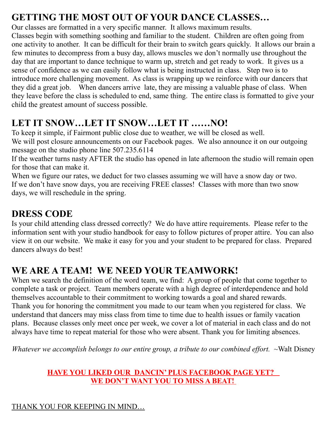## **GETTING THE MOST OUT OF YOUR DANCE CLASSES…**

Our classes are formatted in a very specific manner. It allows maximum results. Classes begin with something soothing and familiar to the student. Children are often going from one activity to another. It can be difficult for their brain to switch gears quickly. It allows our brain a few minutes to decompress from a busy day, allows muscles we don't normally use throughout the day that are important to dance technique to warm up, stretch and get ready to work. It gives us a sense of confidence as we can easily follow what is being instructed in class. Step two is to introduce more challenging movement. As class is wrapping up we reinforce with our dancers that they did a great job. When dancers arrive late, they are missing a valuable phase of class. When they leave before the class is scheduled to end, same thing. The entire class is formatted to give your child the greatest amount of success possible.

## **LET IT SNOW…LET IT SNOW…LET IT ……NO!**

To keep it simple, if Fairmont public close due to weather, we will be closed as well. We will post closure announcements on our Facebook pages. We also announce it on our outgoing message on the studio phone line 507.235.6114

If the weather turns nasty AFTER the studio has opened in late afternoon the studio will remain open for those that can make it.

When we figure our rates, we deduct for two classes assuming we will have a snow day or two. If we don't have snow days, you are receiving FREE classes! Classes with more than two snow days, we will reschedule in the spring.

## **DRESS CODE**

Is your child attending class dressed correctly? We do have attire requirements. Please refer to the information sent with your studio handbook for easy to follow pictures of proper attire. You can also view it on our website. We make it easy for you and your student to be prepared for class. Prepared dancers always do best!

## **WE ARE A TEAM! WE NEED YOUR TEAMWORK!**

When we search the definition of the word team, we find: A group of people that come together to complete a task or project. Team members operate with a high degree of interdependence and hold themselves accountable to their commitment to working towards a goal and shared rewards. Thank you for honoring the commitment you made to our team when you registered for class. We understand that dancers may miss class from time to time due to health issues or family vacation plans. Because classes only meet once per week, we cover a lot of material in each class and do not always have time to repeat material for those who were absent. Thank you for limiting absences.

*Whatever we accomplish belongs to our entire group, a tribute to our combined effort.* ~Walt Disney

#### **HAVE YOU LIKED OUR DANCIN' PLUS FACEBOOK PAGE YET? WE DON'T WANT YOU TO MISS A BEAT!**

#### THANK YOU FOR KEEPING IN MIND…